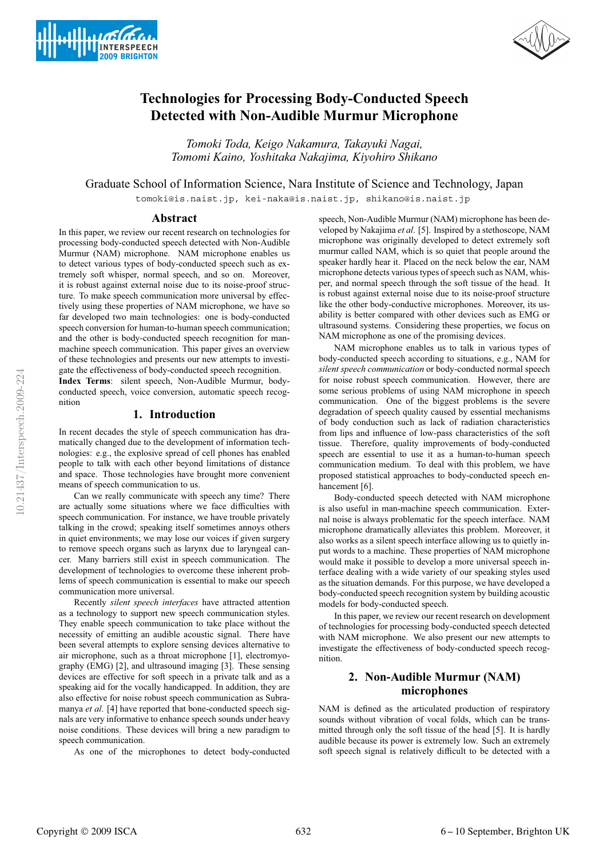



# **Technologies for Processing Body-Conducted Speech Detected with Non-Audible Murmur Microphone**

*Tomoki Toda, Keigo Nakamura, Takayuki Nagai, Tomomi Kaino, Yoshitaka Nakajima, Kiyohiro Shikano*

Graduate School of Information Science, Nara Institute of Science and Technology, Japan

tomoki@is.naist.jp, kei-naka@is.naist.jp, shikano@is.naist.jp

#### **Abstract**

In this paper, we review our recent research on technologies for processing body-conducted speech detected with Non-Audible Murmur (NAM) microphone. NAM microphone enables us to detect various types of body-conducted speech such as extremely soft whisper, normal speech, and so on. Moreover, it is robust against external noise due to its noise-proof structure. To make speech communication more universal by effectively using these properties of NAM microphone, we have so far developed two main technologies: one is body-conducted speech conversion for human-to-human speech communication; and the other is body-conducted speech recognition for manmachine speech communication. This paper gives an overview of these technologies and presents our new attempts to investigate the effectiveness of body-conducted speech recognition.

**Index Terms**: silent speech, Non-Audible Murmur, bodyconducted speech, voice conversion, automatic speech recognition

## **1. Introduction**

In recent decades the style of speech communication has dramatically changed due to the development of information technologies: e.g., the explosive spread of cell phones has enabled people to talk with each other beyond limitations of distance and space. Those technologies have brought more convenient means of speech communication to us.

Can we really communicate with speech any time? There are actually some situations where we face difficulties with speech communication. For instance, we have trouble privately talking in the crowd; speaking itself sometimes annoys others in quiet environments; we may lose our voices if given surgery to remove speech organs such as larynx due to laryngeal cancer. Many barriers still exist in speech communication. The development of technologies to overcome these inherent problems of speech communication is essential to make our speech communication more universal.

Recently *silent speech interfaces* have attracted attention as a technology to support new speech communication styles. They enable speech communication to take place without the necessity of emitting an audible acoustic signal. There have been several attempts to explore sensing devices alternative to air microphone, such as a throat microphone [1], electromyography (EMG) [2], and ultrasound imaging [3]. These sensing devices are effective for soft speech in a private talk and as a speaking aid for the vocally handicapped. In addition, they are also effective for noise robust speech communication as Subramanya *et al*. [4] have reported that bone-conducted speech signals are very informative to enhance speech sounds under heavy noise conditions. These devices will bring a new paradigm to speech communication.

As one of the microphones to detect body-conducted

speech, Non-Audible Murmur (NAM) microphone has been developed by Nakajima *et al*. [5]. Inspired by a stethoscope, NAM microphone was originally developed to detect extremely soft murmur called NAM, which is so quiet that people around the speaker hardly hear it. Placed on the neck below the ear, NAM microphone detects various types of speech such as NAM, whisper, and normal speech through the soft tissue of the head. It is robust against external noise due to its noise-proof structure like the other body-conductive microphones. Moreover, its usability is better compared with other devices such as EMG or ultrasound systems. Considering these properties, we focus on NAM microphone as one of the promising devices.

NAM microphone enables us to talk in various types of body-conducted speech according to situations, e.g., NAM for *silent speech communication* or body-conducted normal speech for noise robust speech communication. However, there are some serious problems of using NAM microphone in speech communication. One of the biggest problems is the severe degradation of speech quality caused by essential mechanisms of body conduction such as lack of radiation characteristics from lips and influence of low-pass characteristics of the soft tissue. Therefore, quality improvements of body-conducted speech are essential to use it as a human-to-human speech communication medium. To deal with this problem, we have proposed statistical approaches to body-conducted speech enhancement [6].

Body-conducted speech detected with NAM microphone is also useful in man-machine speech communication. External noise is always problematic for the speech interface. NAM microphone dramatically alleviates this problem. Moreover, it also works as a silent speech interface allowing us to quietly input words to a machine. These properties of NAM microphone would make it possible to develop a more universal speech interface dealing with a wide variety of our speaking styles used as the situation demands. For this purpose, we have developed a body-conducted speech recognition system by building acoustic models for body-conducted speech.

In this paper, we review our recent research on development of technologies for processing body-conducted speech detected with NAM microphone. We also present our new attempts to investigate the effectiveness of body-conducted speech recognition.

# **2. Non-Audible Murmur (NAM) microphones**

NAM is defined as the articulated production of respiratory sounds without vibration of vocal folds, which can be transmitted through only the soft tissue of the head [5]. It is hardly audible because its power is extremely low. Such an extremely soft speech signal is relatively difficult to be detected with a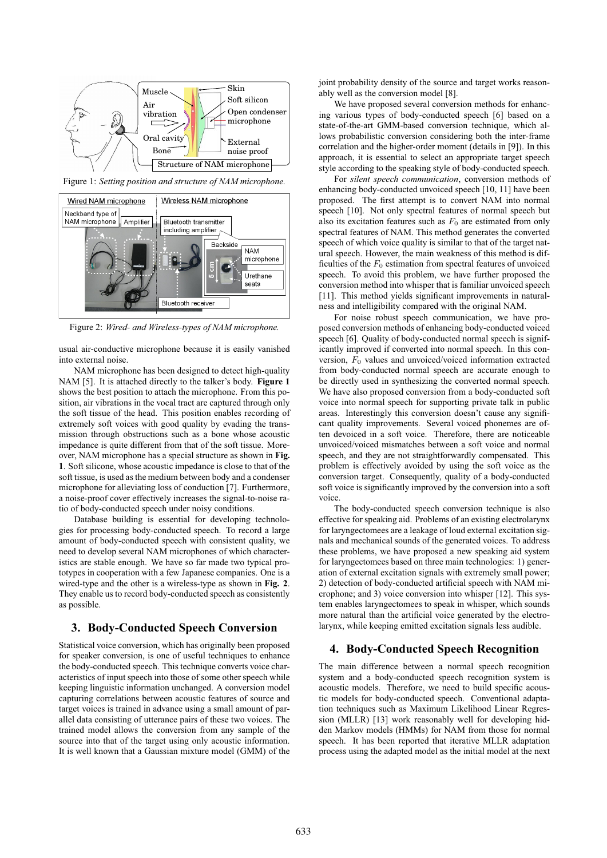

Figure 1: *Setting position and structure of NAM microphone.*



Figure 2: *Wired- and Wireless-types of NAM microphone.*

usual air-conductive microphone because it is easily vanished into external noise.

NAM microphone has been designed to detect high-quality NAM [5]. It is attached directly to the talker's body. **Figure 1** shows the best position to attach the microphone. From this position, air vibrations in the vocal tract are captured through only the soft tissue of the head. This position enables recording of extremely soft voices with good quality by evading the transmission through obstructions such as a bone whose acoustic impedance is quite different from that of the soft tissue. Moreover, NAM microphone has a special structure as shown in **Fig. 1**. Soft silicone, whose acoustic impedance is close to that of the soft tissue, is used as the medium between body and a condenser microphone for alleviating loss of conduction [7]. Furthermore, a noise-proof cover effectively increases the signal-to-noise ratio of body-conducted speech under noisy conditions.

Database building is essential for developing technologies for processing body-conducted speech. To record a large amount of body-conducted speech with consistent quality, we need to develop several NAM microphones of which characteristics are stable enough. We have so far made two typical prototypes in cooperation with a few Japanese companies. One is a wired-type and the other is a wireless-type as shown in **Fig. 2**. They enable us to record body-conducted speech as consistently as possible.

### **3. Body-Conducted Speech Conversion**

Statistical voice conversion, which has originally been proposed for speaker conversion, is one of useful techniques to enhance the body-conducted speech. This technique converts voice characteristics of input speech into those of some other speech while keeping linguistic information unchanged. A conversion model capturing correlations between acoustic features of source and target voices is trained in advance using a small amount of parallel data consisting of utterance pairs of these two voices. The trained model allows the conversion from any sample of the source into that of the target using only acoustic information. It is well known that a Gaussian mixture model (GMM) of the joint probability density of the source and target works reasonably well as the conversion model [8].

We have proposed several conversion methods for enhancing various types of body-conducted speech [6] based on a state-of-the-art GMM-based conversion technique, which allows probabilistic conversion considering both the inter-frame correlation and the higher-order moment (details in [9]). In this approach, it is essential to select an appropriate target speech style according to the speaking style of body-conducted speech.

For *silent speech communication*, conversion methods of enhancing body-conducted unvoiced speech [10, 11] have been proposed. The first attempt is to convert NAM into normal speech [10]. Not only spectral features of normal speech but also its excitation features such as  $F_0$  are estimated from only spectral features of NAM. This method generates the converted speech of which voice quality is similar to that of the target natural speech. However, the main weakness of this method is difficulties of the  $F_0$  estimation from spectral features of unvoiced speech. To avoid this problem, we have further proposed the conversion method into whisper that is familiar unvoiced speech [11]. This method yields significant improvements in naturalness and intelligibility compared with the original NAM.

For noise robust speech communication, we have proposed conversion methods of enhancing body-conducted voiced speech [6]. Quality of body-conducted normal speech is significantly improved if converted into normal speech. In this conversion,  $F_0$  values and unvoiced/voiced information extracted from body-conducted normal speech are accurate enough to be directly used in synthesizing the converted normal speech. We have also proposed conversion from a body-conducted soft voice into normal speech for supporting private talk in public areas. Interestingly this conversion doesn't cause any significant quality improvements. Several voiced phonemes are often devoiced in a soft voice. Therefore, there are noticeable unvoiced/voiced mismatches between a soft voice and normal speech, and they are not straightforwardly compensated. This problem is effectively avoided by using the soft voice as the conversion target. Consequently, quality of a body-conducted soft voice is significantly improved by the conversion into a soft voice.

The body-conducted speech conversion technique is also effective for speaking aid. Problems of an existing electrolarynx for laryngectomees are a leakage of loud external excitation signals and mechanical sounds of the generated voices. To address these problems, we have proposed a new speaking aid system for laryngectomees based on three main technologies: 1) generation of external excitation signals with extremely small power; 2) detection of body-conducted artificial speech with NAM microphone; and 3) voice conversion into whisper [12]. This system enables laryngectomees to speak in whisper, which sounds more natural than the artificial voice generated by the electrolarynx, while keeping emitted excitation signals less audible.

## **4. Body-Conducted Speech Recognition**

The main difference between a normal speech recognition system and a body-conducted speech recognition system is acoustic models. Therefore, we need to build specific acoustic models for body-conducted speech. Conventional adaptation techniques such as Maximum Likelihood Linear Regression (MLLR) [13] work reasonably well for developing hidden Markov models (HMMs) for NAM from those for normal speech. It has been reported that iterative MLLR adaptation process using the adapted model as the initial model at the next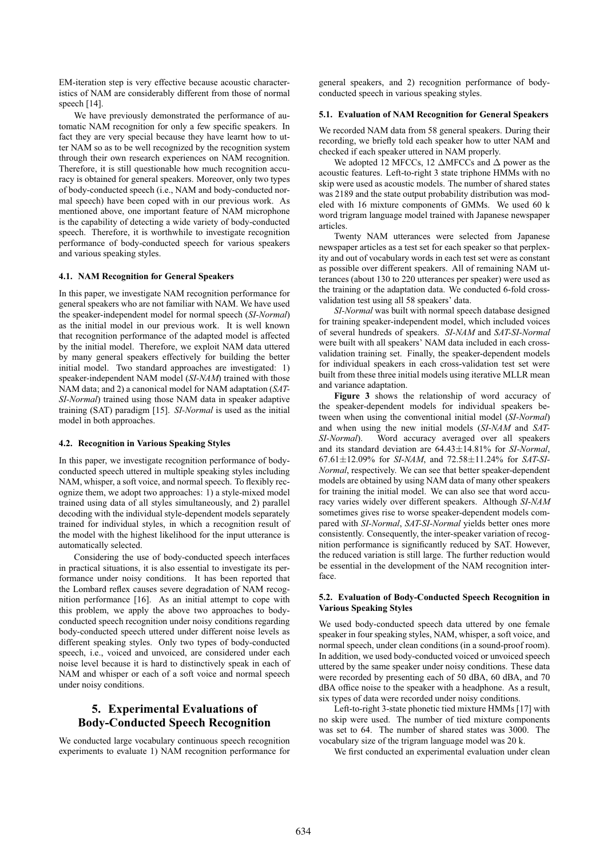EM-iteration step is very effective because acoustic characteristics of NAM are considerably different from those of normal speech [14].

We have previously demonstrated the performance of automatic NAM recognition for only a few specific speakers. In fact they are very special because they have learnt how to utter NAM so as to be well recognized by the recognition system through their own research experiences on NAM recognition. Therefore, it is still questionable how much recognition accuracy is obtained for general speakers. Moreover, only two types of body-conducted speech (i.e., NAM and body-conducted normal speech) have been coped with in our previous work. As mentioned above, one important feature of NAM microphone is the capability of detecting a wide variety of body-conducted speech. Therefore, it is worthwhile to investigate recognition performance of body-conducted speech for various speakers and various speaking styles.

#### **4.1. NAM Recognition for General Speakers**

In this paper, we investigate NAM recognition performance for general speakers who are not familiar with NAM. We have used the speaker-independent model for normal speech (*SI-Normal*) as the initial model in our previous work. It is well known that recognition performance of the adapted model is affected by the initial model. Therefore, we exploit NAM data uttered by many general speakers effectively for building the better initial model. Two standard approaches are investigated: 1) speaker-independent NAM model (*SI-NAM*) trained with those NAM data; and 2) a canonical model for NAM adaptation (*SAT-SI-Normal*) trained using those NAM data in speaker adaptive training (SAT) paradigm [15]. *SI-Normal* is used as the initial model in both approaches.

#### **4.2. Recognition in Various Speaking Styles**

In this paper, we investigate recognition performance of bodyconducted speech uttered in multiple speaking styles including NAM, whisper, a soft voice, and normal speech. To flexibly recognize them, we adopt two approaches: 1) a style-mixed model trained using data of all styles simultaneously, and 2) parallel decoding with the individual style-dependent models separately trained for individual styles, in which a recognition result of the model with the highest likelihood for the input utterance is automatically selected.

Considering the use of body-conducted speech interfaces in practical situations, it is also essential to investigate its performance under noisy conditions. It has been reported that the Lombard reflex causes severe degradation of NAM recognition performance [16]. As an initial attempt to cope with this problem, we apply the above two approaches to bodyconducted speech recognition under noisy conditions regarding body-conducted speech uttered under different noise levels as different speaking styles. Only two types of body-conducted speech, i.e., voiced and unvoiced, are considered under each noise level because it is hard to distinctively speak in each of NAM and whisper or each of a soft voice and normal speech under noisy conditions.

# **5. Experimental Evaluations of Body-Conducted Speech Recognition**

We conducted large vocabulary continuous speech recognition experiments to evaluate 1) NAM recognition performance for

general speakers, and 2) recognition performance of bodyconducted speech in various speaking styles.

#### **5.1. Evaluation of NAM Recognition for General Speakers**

We recorded NAM data from 58 general speakers. During their recording, we briefly told each speaker how to utter NAM and checked if each speaker uttered in NAM properly.

We adopted 12 MFCCs, 12  $\triangle$ MFCCs and  $\triangle$  power as the acoustic features. Left-to-right 3 state triphone HMMs with no skip were used as acoustic models. The number of shared states was 2189 and the state output probability distribution was modeled with 16 mixture components of GMMs. We used 60 k word trigram language model trained with Japanese newspaper articles.

Twenty NAM utterances were selected from Japanese newspaper articles as a test set for each speaker so that perplexity and out of vocabulary words in each test set were as constant as possible over different speakers. All of remaining NAM utterances (about 130 to 220 utterances per speaker) were used as the training or the adaptation data. We conducted 6-fold crossvalidation test using all 58 speakers' data.

*SI-Normal* was built with normal speech database designed for training speaker-independent model, which included voices of several hundreds of speakers. *SI-NAM* and *SAT-SI-Normal* were built with all speakers' NAM data included in each crossvalidation training set. Finally, the speaker-dependent models for individual speakers in each cross-validation test set were built from these three initial models using iterative MLLR mean and variance adaptation.

**Figure 3** shows the relationship of word accuracy of the speaker-dependent models for individual speakers between when using the conventional initial model (*SI-Normal*) and when using the new initial models (*SI-NAM* and *SAT-SI-Normal*). Word accuracy averaged over all speakers and its standard deviation are 64.43±14.81% for *SI-Normal*, 67.61±12.09% for *SI-NAM*, and 72.58±11.24% for *SAT-SI-Normal*, respectively. We can see that better speaker-dependent models are obtained by using NAM data of many other speakers for training the initial model. We can also see that word accuracy varies widely over different speakers. Although *SI-NAM* sometimes gives rise to worse speaker-dependent models compared with *SI-Normal*, *SAT-SI-Normal* yields better ones more consistently. Consequently, the inter-speaker variation of recognition performance is significantly reduced by SAT. However, the reduced variation is still large. The further reduction would be essential in the development of the NAM recognition interface.

#### **5.2. Evaluation of Body-Conducted Speech Recognition in Various Speaking Styles**

We used body-conducted speech data uttered by one female speaker in four speaking styles, NAM, whisper, a soft voice, and normal speech, under clean conditions (in a sound-proof room). In addition, we used body-conducted voiced or unvoiced speech uttered by the same speaker under noisy conditions. These data were recorded by presenting each of 50 dBA, 60 dBA, and 70 dBA office noise to the speaker with a headphone. As a result, six types of data were recorded under noisy conditions.

Left-to-right 3-state phonetic tied mixture HMMs [17] with no skip were used. The number of tied mixture components was set to 64. The number of shared states was 3000. The vocabulary size of the trigram language model was 20 k.

We first conducted an experimental evaluation under clean